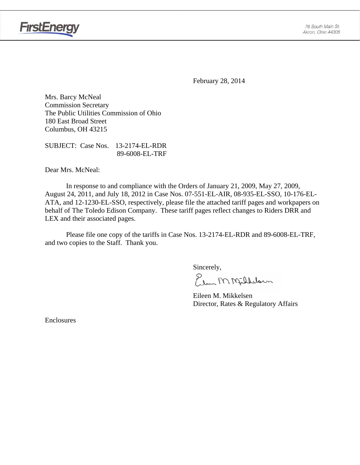

**FirstEnergy** 

February 28, 2014

Mrs. Barcy McNeal Commission Secretary The Public Utilities Commission of Ohio 180 East Broad Street Columbus, OH 43215

SUBJECT: Case Nos. 13-2174-EL-RDR 89-6008-EL-TRF

Dear Mrs. McNeal:

 In response to and compliance with the Orders of January 21, 2009, May 27, 2009, August 24, 2011, and July 18, 2012 in Case Nos. 07-551-EL-AIR, 08-935-EL-SSO, 10-176-EL-ATA, and 12-1230-EL-SSO, respectively, please file the attached tariff pages and workpapers on behalf of The Toledo Edison Company. These tariff pages reflect changes to Riders DRR and LEX and their associated pages.

Please file one copy of the tariffs in Case Nos. 13-2174-EL-RDR and 89-6008-EL-TRF, and two copies to the Staff. Thank you.

Sincerely,

Elem M Milleloun

 Eileen M. Mikkelsen Director, Rates & Regulatory Affairs

Enclosures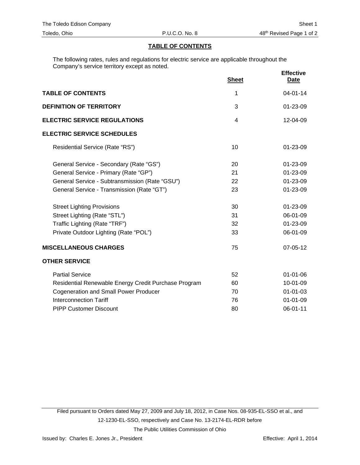#### **TABLE OF CONTENTS**

The following rates, rules and regulations for electric service are applicable throughout the Company's service territory except as noted.

|                                                      | <b>Sheet</b> | <b>Effective</b><br><u>Date</u> |
|------------------------------------------------------|--------------|---------------------------------|
| <b>TABLE OF CONTENTS</b>                             | 1            | $04 - 01 - 14$                  |
| <b>DEFINITION OF TERRITORY</b>                       | 3            | 01-23-09                        |
| <b>ELECTRIC SERVICE REGULATIONS</b>                  | 4            | 12-04-09                        |
| <b>ELECTRIC SERVICE SCHEDULES</b>                    |              |                                 |
| Residential Service (Rate "RS")                      | 10           | 01-23-09                        |
| General Service - Secondary (Rate "GS")              | 20           | 01-23-09                        |
| General Service - Primary (Rate "GP")                | 21           | 01-23-09                        |
| General Service - Subtransmission (Rate "GSU")       | 22           | 01-23-09                        |
| General Service - Transmission (Rate "GT")           | 23           | 01-23-09                        |
| <b>Street Lighting Provisions</b>                    | 30           | 01-23-09                        |
| Street Lighting (Rate "STL")                         | 31           | 06-01-09                        |
| Traffic Lighting (Rate "TRF")                        | 32           | 01-23-09                        |
| Private Outdoor Lighting (Rate "POL")                | 33           | 06-01-09                        |
| <b>MISCELLANEOUS CHARGES</b>                         | 75           | 07-05-12                        |
| <b>OTHER SERVICE</b>                                 |              |                                 |
| <b>Partial Service</b>                               | 52           | $01 - 01 - 06$                  |
| Residential Renewable Energy Credit Purchase Program | 60           | 10-01-09                        |
| <b>Cogeneration and Small Power Producer</b>         | 70           | $01 - 01 - 03$                  |
| <b>Interconnection Tariff</b>                        | 76           | $01 - 01 - 09$                  |
| <b>PIPP Customer Discount</b>                        | 80           | 06-01-11                        |

Filed pursuant to Orders dated May 27, 2009 and July 18, 2012, in Case Nos. 08-935-EL-SSO et al., and 12-1230-EL-SSO, respectively and Case No. 13-2174-EL-RDR before The Public Utilities Commission of Ohio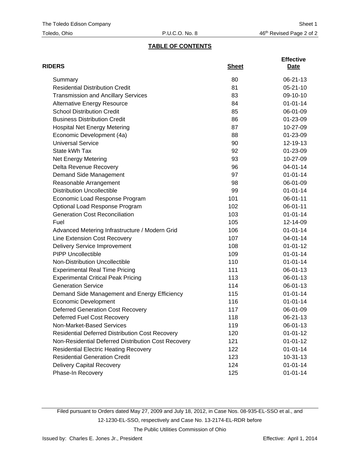# **TABLE OF CONTENTS**

| <b>RIDERS</b>                                          | <b>Sheet</b> | <b>Effective</b><br>Date |
|--------------------------------------------------------|--------------|--------------------------|
| Summary                                                | 80           | 06-21-13                 |
| <b>Residential Distribution Credit</b>                 | 81           | $05 - 21 - 10$           |
| <b>Transmission and Ancillary Services</b>             | 83           | 09-10-10                 |
| <b>Alternative Energy Resource</b>                     | 84           | $01 - 01 - 14$           |
| <b>School Distribution Credit</b>                      | 85           | 06-01-09                 |
| <b>Business Distribution Credit</b>                    | 86           | 01-23-09                 |
| <b>Hospital Net Energy Metering</b>                    | 87           | 10-27-09                 |
| Economic Development (4a)                              | 88           | 01-23-09                 |
| <b>Universal Service</b>                               | 90           | 12-19-13                 |
| State kWh Tax                                          | 92           | 01-23-09                 |
| Net Energy Metering                                    | 93           | 10-27-09                 |
| Delta Revenue Recovery                                 | 96           | 04-01-14                 |
| Demand Side Management                                 | 97           | $01 - 01 - 14$           |
| Reasonable Arrangement                                 | 98           | 06-01-09                 |
| <b>Distribution Uncollectible</b>                      | 99           | $01 - 01 - 14$           |
| Economic Load Response Program                         | 101          | 06-01-11                 |
| Optional Load Response Program                         | 102          | 06-01-11                 |
| <b>Generation Cost Reconciliation</b>                  | 103          | $01 - 01 - 14$           |
| Fuel                                                   | 105          | 12-14-09                 |
| Advanced Metering Infrastructure / Modern Grid         | 106          | $01 - 01 - 14$           |
| Line Extension Cost Recovery                           | 107          | 04-01-14                 |
| <b>Delivery Service Improvement</b>                    | 108          | $01 - 01 - 12$           |
| <b>PIPP Uncollectible</b>                              | 109          | $01 - 01 - 14$           |
| Non-Distribution Uncollectible                         | 110          | $01 - 01 - 14$           |
| <b>Experimental Real Time Pricing</b>                  | 111          | 06-01-13                 |
| <b>Experimental Critical Peak Pricing</b>              | 113          | 06-01-13                 |
| <b>Generation Service</b>                              | 114          | 06-01-13                 |
| Demand Side Management and Energy Efficiency           | 115          | $01 - 01 - 14$           |
| <b>Economic Development</b>                            | 116          | $01 - 01 - 14$           |
| <b>Deferred Generation Cost Recovery</b>               | 117          | 06-01-09                 |
| Deferred Fuel Cost Recovery                            | 118          | 06-21-13                 |
| Non-Market-Based Services                              | 119          | 06-01-13                 |
| <b>Residential Deferred Distribution Cost Recovery</b> | 120          | $01 - 01 - 12$           |
| Non-Residential Deferred Distribution Cost Recovery    | 121          | $01 - 01 - 12$           |
| <b>Residential Electric Heating Recovery</b>           | 122          | $01 - 01 - 14$           |
| <b>Residential Generation Credit</b>                   | 123          | $10-31-13$               |
| <b>Delivery Capital Recovery</b>                       | 124          | $01 - 01 - 14$           |
| Phase-In Recovery                                      | 125          | $01 - 01 - 14$           |

Filed pursuant to Orders dated May 27, 2009 and July 18, 2012, in Case Nos. 08-935-EL-SSO et al., and 12-1230-EL-SSO, respectively and Case No. 13-2174-EL-RDR before The Public Utilities Commission of Ohio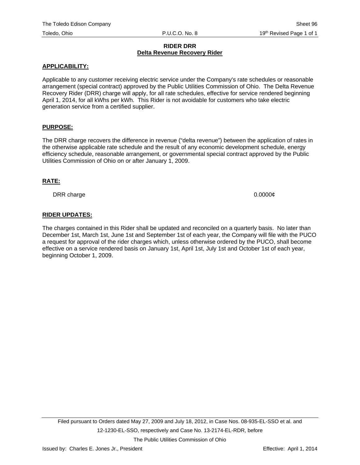#### **RIDER DRR Delta Revenue Recovery Rider**

#### **APPLICABILITY:**

Applicable to any customer receiving electric service under the Company's rate schedules or reasonable arrangement (special contract) approved by the Public Utilities Commission of Ohio. The Delta Revenue Recovery Rider (DRR) charge will apply, for all rate schedules, effective for service rendered beginning April 1, 2014, for all kWhs per kWh. This Rider is not avoidable for customers who take electric generation service from a certified supplier.

### **PURPOSE:**

The DRR charge recovers the difference in revenue ("delta revenue") between the application of rates in the otherwise applicable rate schedule and the result of any economic development schedule, energy efficiency schedule, reasonable arrangement, or governmental special contract approved by the Public Utilities Commission of Ohio on or after January 1, 2009.

#### **RATE:**

DRR charge 0.0000 $\ell$ 

### **RIDER UPDATES:**

The charges contained in this Rider shall be updated and reconciled on a quarterly basis. No later than December 1st, March 1st, June 1st and September 1st of each year, the Company will file with the PUCO a request for approval of the rider charges which, unless otherwise ordered by the PUCO, shall become effective on a service rendered basis on January 1st, April 1st, July 1st and October 1st of each year, beginning October 1, 2009.

The Public Utilities Commission of Ohio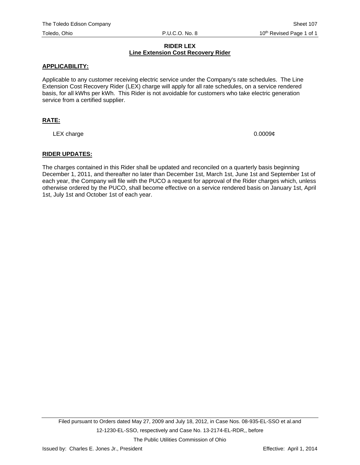#### **RIDER LEX Line Extension Cost Recovery Rider**

### **APPLICABILITY:**

Applicable to any customer receiving electric service under the Company's rate schedules. The Line Extension Cost Recovery Rider (LEX) charge will apply for all rate schedules, on a service rendered basis, for all kWhs per kWh. This Rider is not avoidable for customers who take electric generation service from a certified supplier.

# **RATE:**

LEX charge  $0.0009\ell$ 

### **RIDER UPDATES:**

The charges contained in this Rider shall be updated and reconciled on a quarterly basis beginning December 1, 2011, and thereafter no later than December 1st, March 1st, June 1st and September 1st of each year, the Company will file with the PUCO a request for approval of the Rider charges which, unless otherwise ordered by the PUCO, shall become effective on a service rendered basis on January 1st, April 1st, July 1st and October 1st of each year.

The Public Utilities Commission of Ohio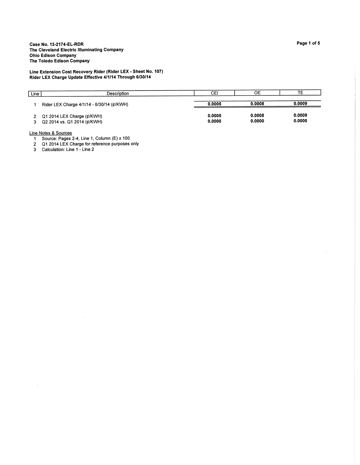Line Extension Cost Recovery Rider (Rider LEX - Sheet No. 107)<br>Rider LEX Charge Update Effective 4/1/14 Through 6/30/14

| Line ' | Description                                               | СE               | OE               | TЕ               |
|--------|-----------------------------------------------------------|------------------|------------------|------------------|
|        | Rider LEX Charge 4/1/14 - 6/30/14 (¢/KWH)                 | 0.0005           | 0.0008           | 0.0009           |
|        | Q1 2014 LEX Charge (¢/KWH)<br>Q2 2014 vs. Q1 2014 (¢/KWH) | 0.0005<br>0.0000 | 0.0008<br>0.0000 | 0.0009<br>0.0000 |

Line Notes & Sources

 $\sim$ 

 $\sim$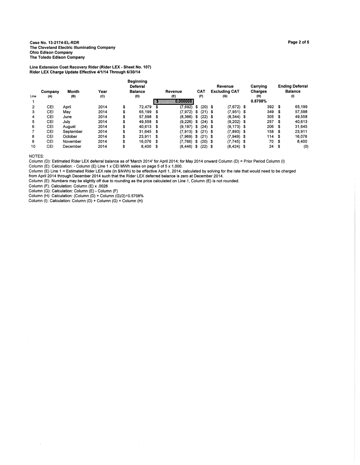Case No. 13-2174-EL-RDR The Cleveland Electric Illuminating Company **Ohio Edison Company** The Toledo Edison Company

Line Extension Cost Recovery Rider (Rider LEX - Sheet No. 107)<br>Rider LEX Charge Update Effective 4/1/14 Through 6/30/14

| Line | Company<br>(A) | Month<br>(B) | Year<br>(C) | <b>Beginning</b><br>Deferral<br><b>Balance</b><br>(D) |      | Revenue<br>(E)<br>000000000 |      | <b>CAT</b><br>(F) | Revenue<br><b>Excluding CAT</b><br>(G) |      | Carrying<br><b>Charges</b><br>(H)<br>0.5708% |      | <b>Ending Deferral</b><br><b>Balance</b><br>(1) |
|------|----------------|--------------|-------------|-------------------------------------------------------|------|-----------------------------|------|-------------------|----------------------------------------|------|----------------------------------------------|------|-------------------------------------------------|
| 2    | CEI            | April        | 2014        | \$<br>72,479                                          | S    | (7.692)                     | S    | $(20)$ \$         | $(7.672)$ \$                           |      | 392S                                         |      | 65.199                                          |
| 3    | CEI            | Mav          | 2014        | \$<br>65.199                                          | \$   | (7.972)                     | -S   | $(21)$ \$         | $(7,951)$ \$                           |      | 349                                          | - \$ | 57,598                                          |
| 4    | CEI            | June         | 2014        | \$<br>57.598                                          | \$   | (8.366)                     | - \$ | $(22)$ \$         | $(8,344)$ \$                           |      | 305                                          | - \$ | 49.558                                          |
| 5    | CEI            | July         | 2014        | \$<br>49.558                                          | -5   | (9.226)                     | - \$ | $(24)$ \$         | $(9,202)$ \$                           |      | 257                                          | - 36 | 40.613                                          |
| 6    | CEI            | August       | 2014        | \$<br>40.613 \$                                       |      | (9, 197)                    | - \$ | $(24)$ \$         | $(9, 173)$ \$                          |      | 206                                          | - \$ | 31,645                                          |
|      | CEI            | September    | 2014        | \$<br>31.645                                          | \$   | (7.913)                     | - \$ | $(21)$ \$         | $(7.893)$ \$                           |      | 158                                          | - \$ | 23,911                                          |
| 8    | CEI            | October      | 2014        | \$<br>23.911                                          | - \$ | (7.969)                     | \$   | $(21)$ \$         | (7.949)                                | - 36 | 114                                          | - \$ | 16,076                                          |
| 9    | <b>CEI</b>     | November     | 2014        | \$<br>16.076                                          | - \$ | (7.766)                     | - \$ | $(20)$ \$         | $(7,745)$ \$                           |      | 70                                           | - \$ | 8,400                                           |
| 10   | CEI            | December     | 2014        | \$<br>8,400                                           | S    | (8, 446)                    | \$   | $(22)$ \$         | $(8, 424)$ \$                          |      | 24                                           | - \$ | (0)                                             |

NOTES:

 $\bar{\bar{z}}$ 

Column (D): Estimated Rider LEX deferral balance as of 'March 2014' for April 2014; for May 2014 onward Column (D) = Prior Period Column (I)

Column  $(E)$ : Calculation: - Column  $(E)$  Line 1 x CEI MWh sales on page 5 of 5 x 1,000.

Column (E) Line 1 = Estimated Rider LEX rate (in \$/kWh) to be effective April 1, 2014, calculated by solving for the rate that would need to be charged From April 2014 through December 2014 state (in why in the Rider LEX deferred balance is zero at December 2014<br>from April 2014 through December 2014 state that the Rider LEX deferred balance is zero at December 2014.<br>Colum

Column (G): Calculation: Column (E) - Column (F)

Column (H): Calculation: Column (D) + Column (G)/2)×0.5708%<br>Column (H): Calculation: (Column (D) + Column (G)/2)×0.5708%<br>Column (I): Calculation: Column (D) + Column (G) + Column (H)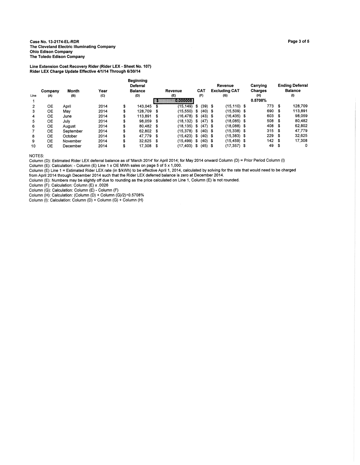#### Case No. 13-2174-EL-RDR The Cleveland Electric Illuminating Company **Ohio Edison Company** The Toledo Edison Company

Line Extension Cost Recovery Rider (Rider LEX - Sheet No. 107) Rider LEX Charge Update Effective 4/1/14 Through 6/30/14

|      |         |              |      | <b>Beginning</b><br><b>Deferral</b> |      |               |      |            | Revenue              |      | Carrying |      | <b>Ending Deferral</b> |
|------|---------|--------------|------|-------------------------------------|------|---------------|------|------------|----------------------|------|----------|------|------------------------|
|      | Company | <b>Month</b> | Year | <b>Balance</b>                      |      | Revenue       |      | <b>CAT</b> | <b>Excluding CAT</b> |      | Charges  |      | <b>Balance</b>         |
| Line | (A)     | (B)          | (C)  | (D)                                 |      | (E)           |      | (F)        | (G)                  |      | (H)      |      | (1)                    |
|      |         |              |      |                                     |      | KOKOLOLOLOL:H |      |            |                      |      | 0.5708%  |      |                        |
| 2    | OE      | April        | 2014 | \$<br>143.045                       | S    | (15,149)      | \$   | $(39)$ \$  | $(15, 110)$ \$       |      | 773      | \$   | 128,709                |
| 3    | OЕ      | Mav          | 2014 | \$<br>128.709                       | S    | (15,550)      | \$   | $(40)$ \$  | $(15,509)$ \$        |      | 690      | S    | 113,891                |
| 4    | ОE      | June         | 2014 | \$<br>113.891                       | - \$ | (16.478)      | - \$ | $(43)$ \$  | (16.435) \$          |      | 603      | - \$ | 98,059                 |
| 5    | ОE      | July         | 2014 | \$<br>98.059                        | - 36 | (18,132)      | - \$ | $(47)$ \$  | (18.085) \$          |      | 508      | \$   | 80,482                 |
| 6    | OЕ      | August       | 2014 | \$<br>80.482 \$                     |      | (18.135)      | - \$ | $(47)$ \$  | (18.088) \$          |      | 408      | - \$ | 62.802                 |
|      | OЕ      | September    | 2014 | \$<br>62.802 \$                     |      | (15.378) \$   |      | $(40)$ \$  | $(15,338)$ \$        |      | 315      | -5   | 47,779                 |
| 8    | OЕ      | October      | 2014 | \$<br>47.779                        | - \$ | (15,423)      | \$   | $(40)$ \$  | (15,383) \$          |      | 229      | S    | 32.625                 |
| 9    | ОE      | November     | 2014 | \$<br>32.625                        | - \$ | (15.499)      | - \$ | $(40)$ \$  | (15, 459)            | - 36 | 142      | \$   | 17.308                 |
| 10   | ОE      | December     | 2014 | \$<br>17,308 \$                     |      | (17.403)      | -5   | $(45)$ \$  | (17,357) \$          |      | 49       | \$   | 0                      |

NOTES:

Column (D): Estimated Rider LEX deferral balance as of 'March 2014' for April 2014; for May 2014 onward Column (D) = Prior Period Column (I)<br>Column (E): Calculation: - Column (E) Line 1 x OE MWh sales on page 5 of 5 x 1,00

Column (E) Line 1 = Estimated Rider LEX rate (in \$/kWh) to be effective April 1, 2014, calculated by solving for the rate that would need to be charged from April 2014 through December 2014 such that the Rider LEX deferred balance is zero at December 2014.

Column (E): Numbers may be slightly off due to rounding as the price calculated on Line 1, Column (E) is not rounded.

Column (F): Numbers may be signity on the to founding as the polition.<br>Column (F): Calculation: Column (E) x .0026<br>Column (G): Calculation: Column (E) - Column (F)<br>Column (H): Calculation: (Column (D) + Column (G)/2)×0.570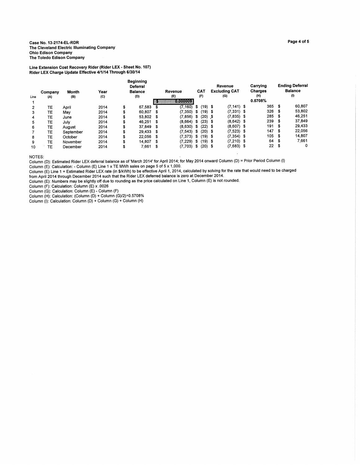Case No. 13-2174-EL-RDR The Cleveland Electric Illuminating Company **Ohio Edison Company** The Toledo Edison Company

Line Extension Cost Recovery Rider (Rider LEX - Sheet No. 107)<br>Rider LEX Charge Update Effective 4/1/14 Through 6/30/14

|                |           |              |      |    | <b>Beginning</b><br>Deferral |      |          |      |            | Revenue              | Carrying |      | <b>Ending Deferral</b> |
|----------------|-----------|--------------|------|----|------------------------------|------|----------|------|------------|----------------------|----------|------|------------------------|
|                | Company   | <b>Month</b> | Year |    | <b>Balance</b>               |      | Revenue  |      | <b>CAT</b> | <b>Excluding CAT</b> | Charges  |      | <b>Balance</b>         |
| Line           | (A)       | (B)          | (C)  |    | (D)                          |      | (E)      |      | (F)        | (G)                  | (H)      |      | (I)                    |
|                |           |              |      |    |                              |      | 00000000 |      |            |                      | 0.5708%  |      |                        |
| $\overline{2}$ | TE        | April        | 2014 | \$ | 67.583                       |      | (7,160)  | \$   | $(19)$ \$  | $(7, 141)$ \$        | 365      | \$   | 60.807                 |
| 3              | ТE        | Mav          | 2014 | \$ | 60.807                       | - 36 | (7.350)  | \$   | $(19)$ \$  | $(7,331)$ \$         | 326      | - 36 | 53,802                 |
| 4              | TЕ        | June         | 2014 | \$ | 53.802 \$                    |      | (7.856)  | \$   | $(20)$ \$  | $(7,835)$ \$         | 285      | \$   | 46.251                 |
| 5              | TЕ        | July         | 2014 | \$ | 46.251                       | - 56 | (8.664)  | - \$ | $(23)$ \$  | $(8,642)$ \$         | 239      | - \$ | 37,849                 |
| 6              | TE        | August       | 2014 | S  | 37.849 \$                    |      | (8,630)  | - \$ | $(22)$ \$  | $(8,607)$ \$         | 191      | \$   | 29.433                 |
|                | TE        | September    | 2014 | \$ | 29.433                       | - \$ | (7.543)  | \$   | $(20)$ \$  | $(7,523)$ \$         | 147      | \$   | 22.056                 |
| 8              | ТE        | October      | 2014 | \$ | 22.056                       | - 36 | (7.373)  | - \$ | $(19)$ \$  | $(7,354)$ \$         | 105      | - \$ | 14,807                 |
| 9              | <b>TE</b> | November     | 2014 | ъ  | 14.807                       | - \$ | (7.229)  | \$   | $(19)$ \$  | $(7,210)$ \$         | 64       | \$   | 7.661                  |
| 10             | TE.       | December     | 2014 | \$ | 7,661                        | - \$ | (7,703)  | \$   | $(20)$ \$  | $(7,683)$ \$         | 22       | \$   | 0                      |

NOTES:

Column (D): Estimated Rider LEX deferral balance as of 'March 2014' for April 2014; for May 2014 onward Column (D) = Prior Period Column (I)

Column (E): Calculation: - Column (E) Line 1 x TE MWh sales on page 5 of 5 x 1,000.

Column (E). Canculation. - Column (E) Lite TX TE WINT sales On Dealth (1, 2014, Calculated by solving for the rate that would need to be charged<br>Column (E) Line 1 = Estimated Rider LEX rate (in \$/kWh) to be effective April

Column (F): Calculation: Column (E) x .0026

Column (G): Calculation: Column (E) - Column (F)

Column (H): Calculation: Column (D) + Column (G)/2)×0.5708%<br>Column (H): Calculation: (Column (D) + Column (G)/2)×0.5708%<br>Column (I): Calculation: Column (D) + Column (G) + Column (H)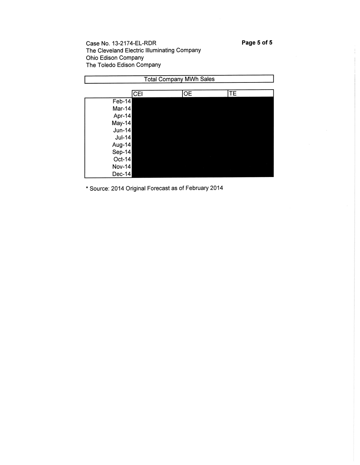Page 5 of 5

Case No. 13-2174-EL-RDR The Cleveland Electric Illuminating Company Ohio Edison Company The Toledo Edison Company

| <b>Total Company MWh Sales</b> |            |           |    |  |  |  |  |  |
|--------------------------------|------------|-----------|----|--|--|--|--|--|
|                                |            |           |    |  |  |  |  |  |
|                                | <b>CEI</b> | <b>OE</b> | TE |  |  |  |  |  |
| $Feb-14$                       |            |           |    |  |  |  |  |  |
| Mar-14                         |            |           |    |  |  |  |  |  |
| Apr-14                         |            |           |    |  |  |  |  |  |
| $May-14$                       |            |           |    |  |  |  |  |  |
| $Jun-14$                       |            |           |    |  |  |  |  |  |
| $Jul-14$                       |            |           |    |  |  |  |  |  |
| Aug-14                         |            |           |    |  |  |  |  |  |
| Sep-14                         |            |           |    |  |  |  |  |  |
| $Oct-14$                       |            |           |    |  |  |  |  |  |
| <b>Nov-14</b>                  |            |           |    |  |  |  |  |  |
| Dec-14                         |            |           |    |  |  |  |  |  |

\* Source: 2014 Original Forecast as of February 2014